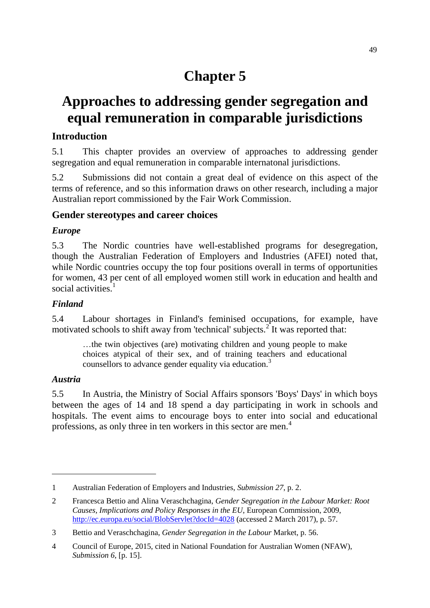# **Chapter 5**

# **Approaches to addressing gender segregation and equal remuneration in comparable jurisdictions**

# **Introduction**

5.1 This chapter provides an overview of approaches to addressing gender segregation and equal remuneration in comparable internatonal jurisdictions.

5.2 Submissions did not contain a great deal of evidence on this aspect of the terms of reference, and so this information draws on other research, including a major Australian report commissioned by the Fair Work Commission.

## **Gender stereotypes and career choices**

## *Europe*

5.3 The Nordic countries have well-established programs for desegregation, though the Australian Federation of Employers and Industries (AFEI) noted that, while Nordic countries occupy the top four positions overall in terms of opportunities for women, 43 per cent of all employed women still work in education and health and social activities.<sup>1</sup>

### *Finland*

5.4 Labour shortages in Finland's feminised occupations, for example, have motivated schools to shift away from 'technical' subjects.<sup>2</sup> It was reported that:

…the twin objectives (are) motivating children and young people to make choices atypical of their sex, and of training teachers and educational counsellors to advance gender equality via education.<sup>3</sup>

## *Austria*

 $\overline{a}$ 

5.5 In Austria, the Ministry of Social Affairs sponsors 'Boys' Days' in which boys between the ages of 14 and 18 spend a day participating in work in schools and hospitals. The event aims to encourage boys to enter into social and educational professions, as only three in ten workers in this sector are men.<sup>4</sup>

<sup>1</sup> Australian Federation of Employers and Industries, *Submission 27*, p. 2.

<sup>2</sup> Francesca Bettio and Alina Veraschchagina, *Gender Segregation in the Labour Market: Root Causes, Implications and Policy Responses in the EU*, European Commission, 2009, <http://ec.europa.eu/social/BlobServlet?docId=4028> (accessed 2 March 2017), p. 57.

<sup>3</sup> Bettio and Veraschchagina, *Gender Segregation in the Labour* Market, p. 56.

<sup>4</sup> Council of Europe, 2015, cited in National Foundation for Australian Women (NFAW), *Submission 6*, [p. 15].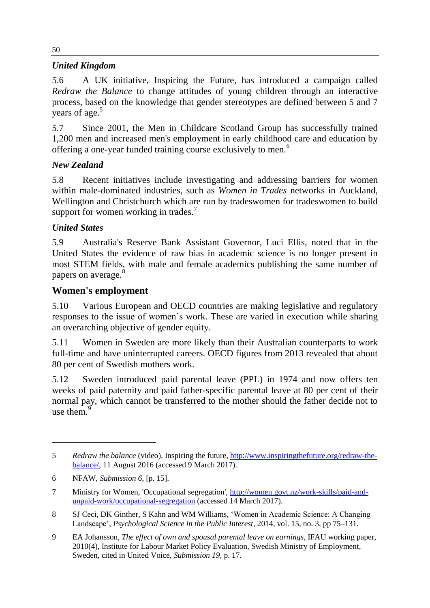# *United Kingdom*

5.6 A UK initiative, Inspiring the Future, has introduced a campaign called *Redraw the Balance* to change attitudes of young children through an interactive process, based on the knowledge that gender stereotypes are defined between 5 and 7 years of age. 5

5.7 Since 2001, the Men in Childcare Scotland Group has successfully trained 1,200 men and increased men's employment in early childhood care and education by offering a one-year funded training course exclusively to men.<sup>6</sup>

# *New Zealand*

5.8 Recent initiatives include investigating and addressing barriers for women within male-dominated industries, such as *Women in Trades* networks in Auckland, Wellington and Christchurch which are run by tradeswomen for tradeswomen to build support for women working in trades.<sup>7</sup>

# *United States*

5.9 Australia's Reserve Bank Assistant Governor, Luci Ellis, noted that in the United States the evidence of raw bias in academic science is no longer present in most STEM fields, with male and female academics publishing the same number of papers on average.<sup>8</sup>

# **Women's employment**

5.10 Various European and OECD countries are making legislative and regulatory responses to the issue of women's work. These are varied in execution while sharing an overarching objective of gender equity.

5.11 Women in Sweden are more likely than their Australian counterparts to work full-time and have uninterrupted careers. OECD figures from 2013 revealed that about 80 per cent of Swedish mothers work.

5.12 Sweden introduced paid parental leave (PPL) in 1974 and now offers ten weeks of paid paternity and paid father-specific parental leave at 80 per cent of their normal pay, which cannot be transferred to the mother should the father decide not to use them. $\frac{9}{9}$ 

 $\overline{a}$ 

50

<sup>5</sup> *Redraw the balance* (video), Inspiring the future, [http://www.inspiringthefuture.org/redraw-the](http://www.inspiringthefuture.org/redraw-the-balance/)[balance/,](http://www.inspiringthefuture.org/redraw-the-balance/) 11 August 2016 (accessed 9 March 2017).

<sup>6</sup> NFAW, *Submission 6*, [p. 15].

<sup>7</sup> Ministry for Women, 'Occupational segregation', [http://women.govt.nz/work-skills/paid-and](http://women.govt.nz/work-skills/paid-and-unpaid-work/occupational-segregation)[unpaid-work/occupational-segregation](http://women.govt.nz/work-skills/paid-and-unpaid-work/occupational-segregation) (accessed 14 March 2017).

<sup>8</sup> SJ Ceci, DK Ginther, S Kahn and WM Williams, 'Women in Academic Science: A Changing Landscape', *Psychological Science in the Public Interest*, 2014, vol. 15, no. 3, pp 75–131.

<sup>9</sup> EA Johansson, *The effect of own and spousal parental leave on earnings*, IFAU working paper, 2010(4), Institute for Labour Market Policy Evaluation, Swedish Ministry of Employment, Sweden, cited in United Voice, *Submission 19*, p. 17.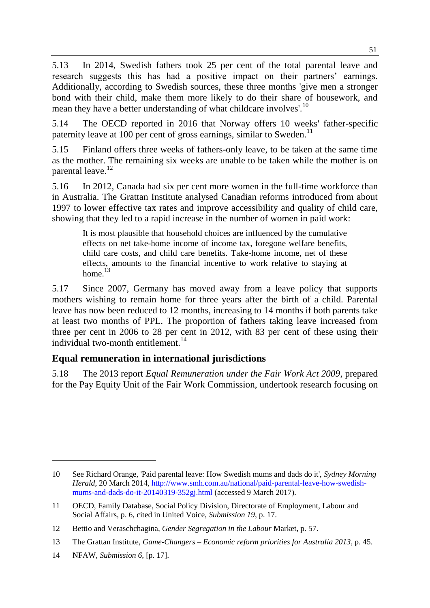5.13 In 2014, Swedish fathers took 25 per cent of the total parental leave and research suggests this has had a positive impact on their partners' earnings. Additionally, according to Swedish sources, these three months 'give men a stronger bond with their child, make them more likely to do their share of housework, and mean they have a better understanding of what childcare involves'.<sup>10</sup>

5.14 The OECD reported in 2016 that Norway offers 10 weeks' father-specific paternity leave at 100 per cent of gross earnings, similar to Sweden.<sup>11</sup>

5.15 Finland offers three weeks of fathers-only leave, to be taken at the same time as the mother. The remaining six weeks are unable to be taken while the mother is on parental leave.<sup>12</sup>

5.16 In 2012, Canada had six per cent more women in the full-time workforce than in Australia. The Grattan Institute analysed Canadian reforms introduced from about 1997 to lower effective tax rates and improve accessibility and quality of child care, showing that they led to a rapid increase in the number of women in paid work:

It is most plausible that household choices are influenced by the cumulative effects on net take-home income of income tax, foregone welfare benefits, child care costs, and child care benefits. Take-home income, net of these effects, amounts to the financial incentive to work relative to staying at home.<sup>13</sup>

5.17 Since 2007, Germany has moved away from a leave policy that supports mothers wishing to remain home for three years after the birth of a child. Parental leave has now been reduced to 12 months, increasing to 14 months if both parents take at least two months of PPL. The proportion of fathers taking leave increased from three per cent in 2006 to 28 per cent in 2012, with 83 per cent of these using their individual two-month entitlement.<sup>14</sup>

# **Equal remuneration in international jurisdictions**

5.18 The 2013 report *Equal Remuneration under the Fair Work Act 2009*, prepared for the Pay Equity Unit of the Fair Work Commission, undertook research focusing on

 $\overline{a}$ 

<sup>10</sup> See Richard Orange, 'Paid parental leave: How Swedish mums and dads do it', *Sydney Morning Herald*, 20 March 2014[, http://www.smh.com.au/national/paid-parental-leave-how-swedish](http://www.smh.com.au/national/paid-parental-leave-how-swedish-mums-and-dads-do-it-20140319-352gj.html)[mums-and-dads-do-it-20140319-352gj.html](http://www.smh.com.au/national/paid-parental-leave-how-swedish-mums-and-dads-do-it-20140319-352gj.html) (accessed 9 March 2017).

<sup>11</sup> OECD, Family Database, Social Policy Division, Directorate of Employment, Labour and Social Affairs, p. 6, cited in United Voice, *Submission 19*, p. 17.

<sup>12</sup> Bettio and Veraschchagina, *Gender Segregation in the Labour* Market, p. 57.

<sup>13</sup> The Grattan Institute, *Game-Changers – Economic reform priorities for Australia 2013*, p. 45.

<sup>14</sup> NFAW, *Submission 6*, [p. 17].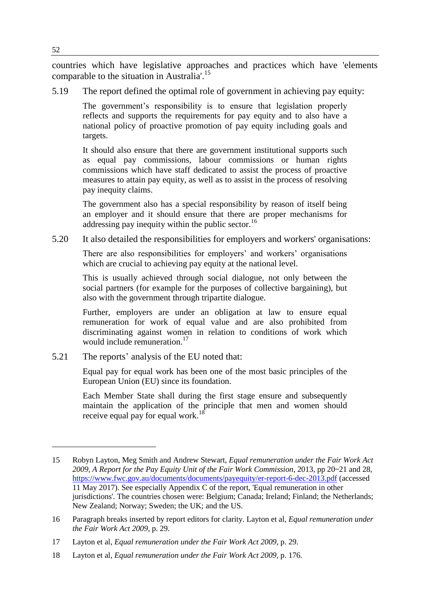countries which have legislative approaches and practices which have 'elements comparable to the situation in Australia'.<sup>15</sup>

5.19 The report defined the optimal role of government in achieving pay equity:

The government's responsibility is to ensure that legislation properly reflects and supports the requirements for pay equity and to also have a national policy of proactive promotion of pay equity including goals and targets.

It should also ensure that there are government institutional supports such as equal pay commissions, labour commissions or human rights commissions which have staff dedicated to assist the process of proactive measures to attain pay equity, as well as to assist in the process of resolving pay inequity claims.

The government also has a special responsibility by reason of itself being an employer and it should ensure that there are proper mechanisms for addressing pay inequity within the public sector.<sup>16</sup>

5.20 It also detailed the responsibilities for employers and workers' organisations:

There are also responsibilities for employers' and workers' organisations which are crucial to achieving pay equity at the national level.

This is usually achieved through social dialogue, not only between the social partners (for example for the purposes of collective bargaining), but also with the government through tripartite dialogue.

Further, employers are under an obligation at law to ensure equal remuneration for work of equal value and are also prohibited from discriminating against women in relation to conditions of work which would include remuneration.<sup>17</sup>

5.21 The reports' analysis of the EU noted that:

Equal pay for equal work has been one of the most basic principles of the European Union (EU) since its foundation.

Each Member State shall during the first stage ensure and subsequently maintain the application of the principle that men and women should receive equal pay for equal work.<sup>18</sup>

 $\overline{a}$ 

<sup>15</sup> Robyn Layton, Meg Smith and Andrew Stewart, *Equal remuneration under the Fair Work Act*  2009, A Report for the Pay Equity Unit of the Fair Work Commission, 2013, pp 20–21 and 28, <https://www.fwc.gov.au/documents/documents/payequity/er-report-6-dec-2013.pdf> (accessed 11 May 2017). See especially Appendix C of the report, 'Equal remuneration in other jurisdictions'. The countries chosen were: Belgium; Canada; Ireland; Finland; the Netherlands; New Zealand; Norway; Sweden; the UK; and the US.

<sup>16</sup> Paragraph breaks inserted by report editors for clarity. Layton et al, *Equal remuneration under the Fair Work Act 2009*, p. 29.

<sup>17</sup> Layton et al, *Equal remuneration under the Fair Work Act 2009*, p. 29.

<sup>18</sup> Layton et al, *Equal remuneration under the Fair Work Act 2009*, p. 176.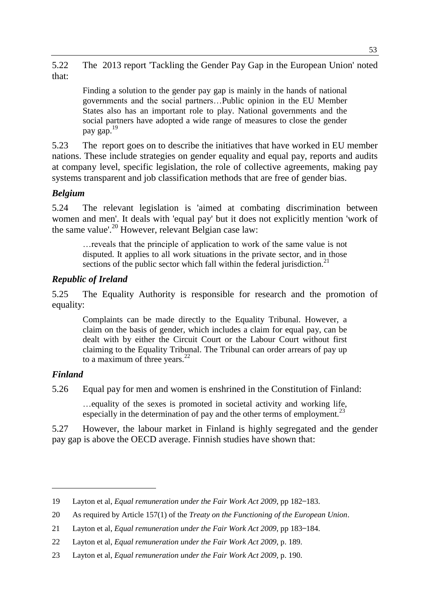5.22 The 2013 report 'Tackling the Gender Pay Gap in the European Union' noted that:

Finding a solution to the gender pay gap is mainly in the hands of national governments and the social partners…Public opinion in the EU Member States also has an important role to play. National governments and the social partners have adopted a wide range of measures to close the gender pay gap.<sup>19</sup>

5.23 The report goes on to describe the initiatives that have worked in EU member nations. These include strategies on gender equality and equal pay, reports and audits at company level, specific legislation, the role of collective agreements, making pay systems transparent and job classification methods that are free of gender bias.

## *Belgium*

5.24 The relevant legislation is 'aimed at combating discrimination between women and men'. It deals with 'equal pay' but it does not explicitly mention 'work of the same value'.<sup>20</sup> However, relevant Belgian case law:

…reveals that the principle of application to work of the same value is not disputed. It applies to all work situations in the private sector, and in those sections of the public sector which fall within the federal jurisdiction.<sup>21</sup>

# *Republic of Ireland*

5.25 The Equality Authority is responsible for research and the promotion of equality:

Complaints can be made directly to the Equality Tribunal. However, a claim on the basis of gender, which includes a claim for equal pay, can be dealt with by either the Circuit Court or the Labour Court without first claiming to the Equality Tribunal. The Tribunal can order arrears of pay up to a maximum of three years. $^{22}$ 

## *Finland*

 $\overline{a}$ 

5.26 Equal pay for men and women is enshrined in the Constitution of Finland:

…equality of the sexes is promoted in societal activity and working life, especially in the determination of pay and the other terms of employment.<sup>23</sup>

5.27 However, the labour market in Finland is highly segregated and the gender pay gap is above the OECD average. Finnish studies have shown that:

<sup>19</sup> Layton et al, *Equal remuneration under the Fair Work Act 2009*, pp 182–183.

<sup>20</sup> As required by Article 157(1) of the *Treaty on the Functioning of the European Union*.

<sup>21</sup> Layton et al, *Equal remuneration under the Fair Work Act 2009*, pp 183–184.

<sup>22</sup> Layton et al, *Equal remuneration under the Fair Work Act 2009*, p. 189.

<sup>23</sup> Layton et al, *Equal remuneration under the Fair Work Act 2009*, p. 190.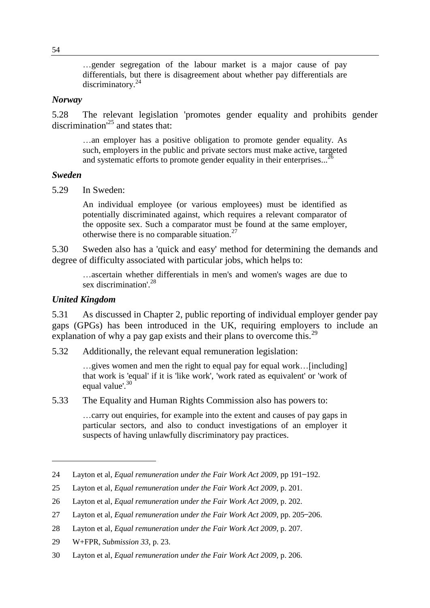…gender segregation of the labour market is a major cause of pay differentials, but there is disagreement about whether pay differentials are discriminatory.<sup>24</sup>

#### *Norway*

5.28 The relevant legislation 'promotes gender equality and prohibits gender discrimination'<sup>25</sup> and states that:

…an employer has a positive obligation to promote gender equality. As such, employers in the public and private sectors must make active, targeted and systematic efforts to promote gender equality in their enterprises...<sup>26</sup>

#### *Sweden*

5.29 In Sweden:

An individual employee (or various employees) must be identified as potentially discriminated against, which requires a relevant comparator of the opposite sex. Such a comparator must be found at the same employer, otherwise there is no comparable situation. $27$ 

5.30 Sweden also has a 'quick and easy' method for determining the demands and degree of difficulty associated with particular jobs, which helps to:

…ascertain whether differentials in men's and women's wages are due to sex discrimination'.<sup>28</sup>

#### *United Kingdom*

 $\overline{a}$ 

5.31 As discussed in Chapter 2, public reporting of individual employer gender pay gaps (GPGs) has been introduced in the UK, requiring employers to include an explanation of why a pay gap exists and their plans to overcome this.<sup>29</sup>

5.32 Additionally, the relevant equal remuneration legislation:

…gives women and men the right to equal pay for equal work…[including] that work is 'equal' if it is 'like work', 'work rated as equivalent' or 'work of equal value'.<sup>30</sup>

5.33 The Equality and Human Rights Commission also has powers to:

…carry out enquiries, for example into the extent and causes of pay gaps in particular sectors, and also to conduct investigations of an employer it suspects of having unlawfully discriminatory pay practices.

<sup>24</sup> Layton et al, *Equal remuneration under the Fair Work Act 2009*, pp 191–192.

<sup>25</sup> Layton et al, *Equal remuneration under the Fair Work Act 2009*, p. 201.

<sup>26</sup> Layton et al, *Equal remuneration under the Fair Work Act 2009*, p. 202.

<sup>27</sup> Layton et al, *Equal remuneration under the Fair Work Act 2009*, pp. 205–206.

<sup>28</sup> Layton et al, *Equal remuneration under the Fair Work Act 2009*, p. 207.

<sup>29</sup> W+FPR, *Submission 33*, p. 23.

<sup>30</sup> Layton et al, *Equal remuneration under the Fair Work Act 2009*, p. 206.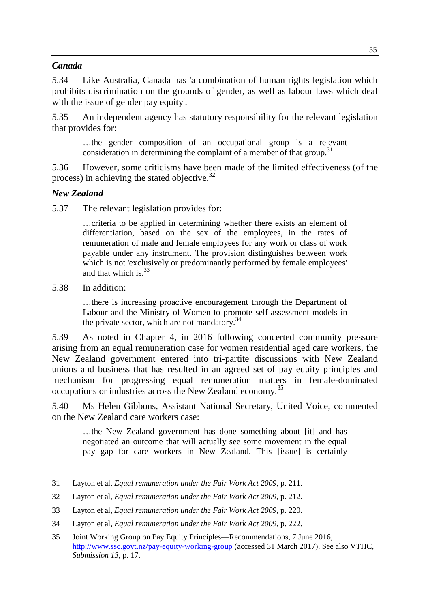### *Canada*

5.34 Like Australia, Canada has 'a combination of human rights legislation which prohibits discrimination on the grounds of gender, as well as labour laws which deal with the issue of gender pay equity'.

5.35 An independent agency has statutory responsibility for the relevant legislation that provides for:

…the gender composition of an occupational group is a relevant consideration in determining the complaint of a member of that group.<sup>31</sup>

5.36 However, some criticisms have been made of the limited effectiveness (of the process) in achieving the stated objective.<sup>32</sup>

#### *New Zealand*

5.37 The relevant legislation provides for:

…criteria to be applied in determining whether there exists an element of differentiation, based on the sex of the employees, in the rates of remuneration of male and female employees for any work or class of work payable under any instrument. The provision distinguishes between work which is not 'exclusively or predominantly performed by female employees' and that which is.  $33$ 

5.38 In addition:

 $\overline{a}$ 

…there is increasing proactive encouragement through the Department of Labour and the Ministry of Women to promote self-assessment models in the private sector, which are not mandatory.<sup>34</sup>

5.39 As noted in Chapter 4, in 2016 following concerted community pressure arising from an equal remuneration case for women residential aged care workers, the New Zealand government entered into tri-partite discussions with New Zealand unions and business that has resulted in an agreed set of pay equity principles and mechanism for progressing equal remuneration matters in female-dominated occupations or industries across the New Zealand economy.<sup>35</sup>

5.40 Ms Helen Gibbons, Assistant National Secretary, United Voice, commented on the New Zealand care workers case:

…the New Zealand government has done something about [it] and has negotiated an outcome that will actually see some movement in the equal pay gap for care workers in New Zealand. This [issue] is certainly

<sup>31</sup> Layton et al, *Equal remuneration under the Fair Work Act 2009*, p. 211.

<sup>32</sup> Layton et al, *Equal remuneration under the Fair Work Act 2009*, p. 212.

<sup>33</sup> Layton et al, *Equal remuneration under the Fair Work Act 2009*, p. 220.

<sup>34</sup> Layton et al, *Equal remuneration under the Fair Work Act 2009*, p. 222.

<sup>35</sup> Joint Working Group on Pay Equity Principles—Recommendations, 7 June 2016, <http://www.ssc.govt.nz/pay-equity-working-group> (accessed 31 March 2017). See also VTHC, *Submission 13*, p. 17.